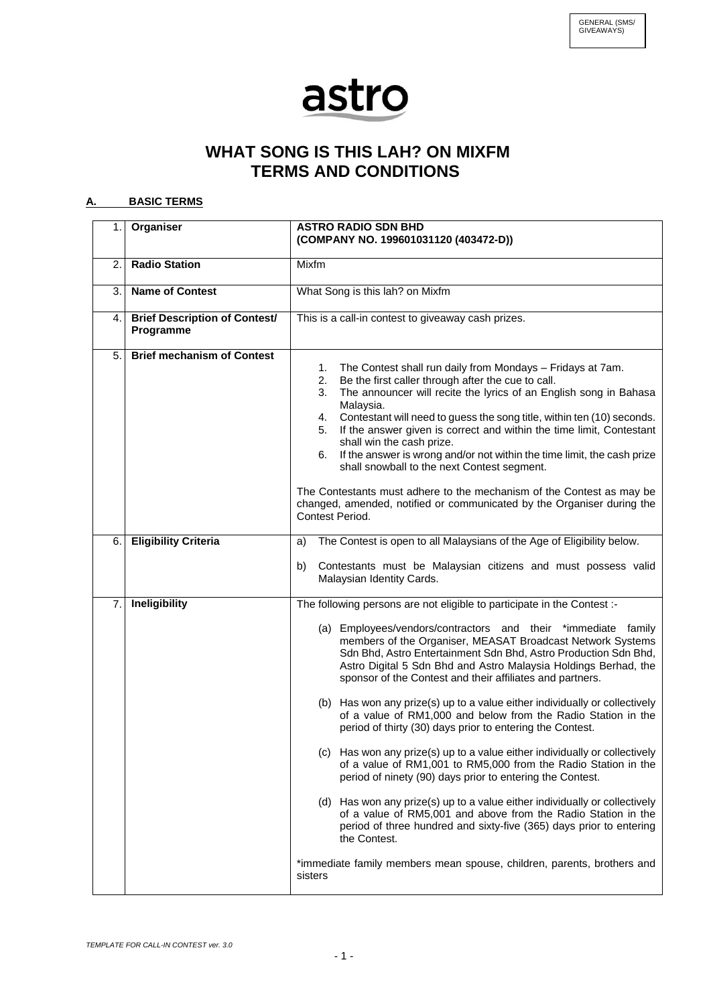## astro

## **WHAT SONG IS THIS LAH? ON MIXFM TERMS AND CONDITIONS**

## **A. BASIC TERMS**

|    | 1. Organiser                                      | <b>ASTRO RADIO SDN BHD</b><br>(COMPANY NO. 199601031120 (403472-D))                                                                                                                                                                                                                                                                                                                                                                                                                                                                                                                                                                                                                                                                                                                                                                                                                                                                                                                                                                                                                                                                                           |
|----|---------------------------------------------------|---------------------------------------------------------------------------------------------------------------------------------------------------------------------------------------------------------------------------------------------------------------------------------------------------------------------------------------------------------------------------------------------------------------------------------------------------------------------------------------------------------------------------------------------------------------------------------------------------------------------------------------------------------------------------------------------------------------------------------------------------------------------------------------------------------------------------------------------------------------------------------------------------------------------------------------------------------------------------------------------------------------------------------------------------------------------------------------------------------------------------------------------------------------|
| 2. | <b>Radio Station</b>                              | Mixfm                                                                                                                                                                                                                                                                                                                                                                                                                                                                                                                                                                                                                                                                                                                                                                                                                                                                                                                                                                                                                                                                                                                                                         |
| 3. | <b>Name of Contest</b>                            | What Song is this lah? on Mixfm                                                                                                                                                                                                                                                                                                                                                                                                                                                                                                                                                                                                                                                                                                                                                                                                                                                                                                                                                                                                                                                                                                                               |
| 4. | <b>Brief Description of Contest/</b><br>Programme | This is a call-in contest to giveaway cash prizes.                                                                                                                                                                                                                                                                                                                                                                                                                                                                                                                                                                                                                                                                                                                                                                                                                                                                                                                                                                                                                                                                                                            |
| 5. | <b>Brief mechanism of Contest</b>                 | The Contest shall run daily from Mondays - Fridays at 7am.<br>1.<br>Be the first caller through after the cue to call.<br>2.<br>The announcer will recite the lyrics of an English song in Bahasa<br>3.<br>Malaysia.<br>Contestant will need to guess the song title, within ten (10) seconds.<br>4.<br>If the answer given is correct and within the time limit, Contestant<br>5.<br>shall win the cash prize.<br>If the answer is wrong and/or not within the time limit, the cash prize<br>6.<br>shall snowball to the next Contest segment.<br>The Contestants must adhere to the mechanism of the Contest as may be<br>changed, amended, notified or communicated by the Organiser during the<br>Contest Period.                                                                                                                                                                                                                                                                                                                                                                                                                                         |
| 6. | <b>Eligibility Criteria</b>                       | The Contest is open to all Malaysians of the Age of Eligibility below.<br>a)<br>Contestants must be Malaysian citizens and must possess valid<br>b)<br>Malaysian Identity Cards.                                                                                                                                                                                                                                                                                                                                                                                                                                                                                                                                                                                                                                                                                                                                                                                                                                                                                                                                                                              |
| 7. | Ineligibility                                     | The following persons are not eligible to participate in the Contest :-<br>(a) Employees/vendors/contractors and their *immediate family<br>members of the Organiser, MEASAT Broadcast Network Systems<br>Sdn Bhd, Astro Entertainment Sdn Bhd, Astro Production Sdn Bhd,<br>Astro Digital 5 Sdn Bhd and Astro Malaysia Holdings Berhad, the<br>sponsor of the Contest and their affiliates and partners.<br>(b) Has won any prize(s) up to a value either individually or collectively<br>of a value of RM1,000 and below from the Radio Station in the<br>period of thirty (30) days prior to entering the Contest.<br>(c) Has won any prize(s) up to a value either individually or collectively<br>of a value of RM1,001 to RM5,000 from the Radio Station in the<br>period of ninety (90) days prior to entering the Contest.<br>(d) Has won any prize(s) up to a value either individually or collectively<br>of a value of RM5,001 and above from the Radio Station in the<br>period of three hundred and sixty-five (365) days prior to entering<br>the Contest.<br>*immediate family members mean spouse, children, parents, brothers and<br>sisters |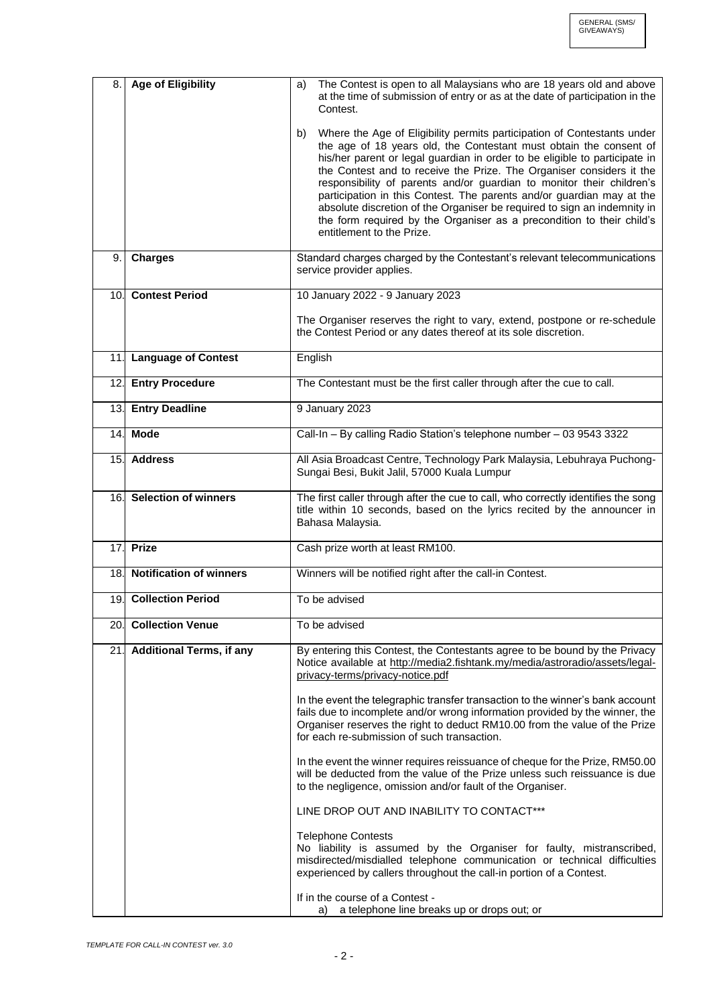| 8.  | <b>Age of Eligibility</b>       | The Contest is open to all Malaysians who are 18 years old and above<br>a)<br>at the time of submission of entry or as at the date of participation in the<br>Contest.                                                                                                                                                                                                                                                                                                                                                                                                                                                                        |
|-----|---------------------------------|-----------------------------------------------------------------------------------------------------------------------------------------------------------------------------------------------------------------------------------------------------------------------------------------------------------------------------------------------------------------------------------------------------------------------------------------------------------------------------------------------------------------------------------------------------------------------------------------------------------------------------------------------|
|     |                                 | Where the Age of Eligibility permits participation of Contestants under<br>b)<br>the age of 18 years old, the Contestant must obtain the consent of<br>his/her parent or legal guardian in order to be eligible to participate in<br>the Contest and to receive the Prize. The Organiser considers it the<br>responsibility of parents and/or guardian to monitor their children's<br>participation in this Contest. The parents and/or guardian may at the<br>absolute discretion of the Organiser be required to sign an indemnity in<br>the form required by the Organiser as a precondition to their child's<br>entitlement to the Prize. |
| 9.  | <b>Charges</b>                  | Standard charges charged by the Contestant's relevant telecommunications<br>service provider applies.                                                                                                                                                                                                                                                                                                                                                                                                                                                                                                                                         |
| 10. | <b>Contest Period</b>           | 10 January 2022 - 9 January 2023                                                                                                                                                                                                                                                                                                                                                                                                                                                                                                                                                                                                              |
|     |                                 | The Organiser reserves the right to vary, extend, postpone or re-schedule<br>the Contest Period or any dates thereof at its sole discretion.                                                                                                                                                                                                                                                                                                                                                                                                                                                                                                  |
|     | 11. Language of Contest         | English                                                                                                                                                                                                                                                                                                                                                                                                                                                                                                                                                                                                                                       |
| 12. | <b>Entry Procedure</b>          | The Contestant must be the first caller through after the cue to call.                                                                                                                                                                                                                                                                                                                                                                                                                                                                                                                                                                        |
|     | 13. Entry Deadline              | 9 January 2023                                                                                                                                                                                                                                                                                                                                                                                                                                                                                                                                                                                                                                |
|     | 14. Mode                        | Call-In - By calling Radio Station's telephone number - 03 9543 3322                                                                                                                                                                                                                                                                                                                                                                                                                                                                                                                                                                          |
|     | 15. Address                     | All Asia Broadcast Centre, Technology Park Malaysia, Lebuhraya Puchong-<br>Sungai Besi, Bukit Jalil, 57000 Kuala Lumpur                                                                                                                                                                                                                                                                                                                                                                                                                                                                                                                       |
|     | 16. Selection of winners        | The first caller through after the cue to call, who correctly identifies the song<br>title within 10 seconds, based on the lyrics recited by the announcer in<br>Bahasa Malaysia.                                                                                                                                                                                                                                                                                                                                                                                                                                                             |
| 17. | <b>Prize</b>                    | Cash prize worth at least RM100.                                                                                                                                                                                                                                                                                                                                                                                                                                                                                                                                                                                                              |
|     | 18. Notification of winners     | Winners will be notified right after the call-in Contest.                                                                                                                                                                                                                                                                                                                                                                                                                                                                                                                                                                                     |
|     | 19. Collection Period           | To be advised                                                                                                                                                                                                                                                                                                                                                                                                                                                                                                                                                                                                                                 |
| 20. | <b>Collection Venue</b>         | To be advised                                                                                                                                                                                                                                                                                                                                                                                                                                                                                                                                                                                                                                 |
| 21. | <b>Additional Terms, if any</b> | By entering this Contest, the Contestants agree to be bound by the Privacy<br>Notice available at http://media2.fishtank.my/media/astroradio/assets/legal-<br>privacy-terms/privacy-notice.pdf                                                                                                                                                                                                                                                                                                                                                                                                                                                |
|     |                                 | In the event the telegraphic transfer transaction to the winner's bank account<br>fails due to incomplete and/or wrong information provided by the winner, the<br>Organiser reserves the right to deduct RM10.00 from the value of the Prize<br>for each re-submission of such transaction.                                                                                                                                                                                                                                                                                                                                                   |
|     |                                 | In the event the winner requires reissuance of cheque for the Prize, RM50.00<br>will be deducted from the value of the Prize unless such reissuance is due<br>to the negligence, omission and/or fault of the Organiser.                                                                                                                                                                                                                                                                                                                                                                                                                      |
|     |                                 | LINE DROP OUT AND INABILITY TO CONTACT***                                                                                                                                                                                                                                                                                                                                                                                                                                                                                                                                                                                                     |
|     |                                 | <b>Telephone Contests</b><br>No liability is assumed by the Organiser for faulty, mistranscribed,<br>misdirected/misdialled telephone communication or technical difficulties<br>experienced by callers throughout the call-in portion of a Contest.                                                                                                                                                                                                                                                                                                                                                                                          |
|     |                                 | If in the course of a Contest -<br>a telephone line breaks up or drops out; or<br>a)                                                                                                                                                                                                                                                                                                                                                                                                                                                                                                                                                          |